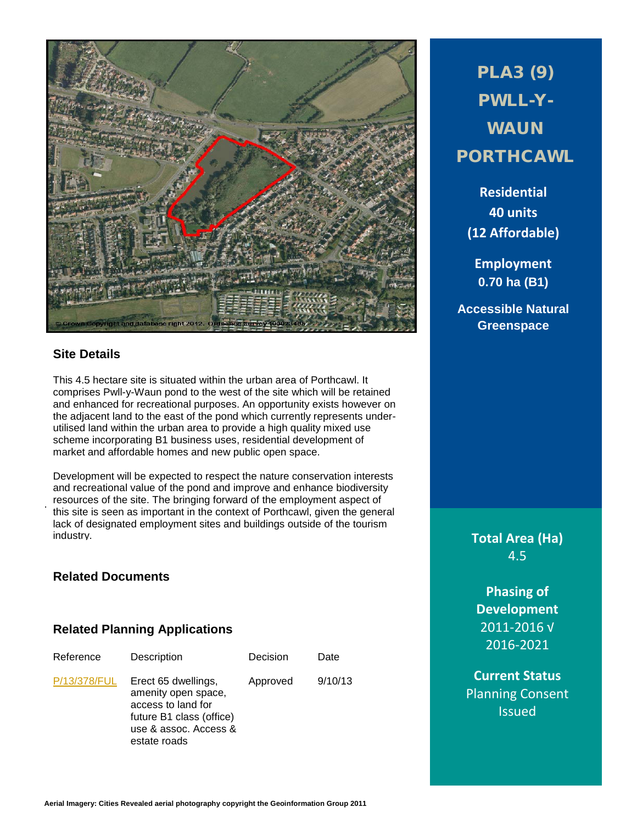

## **Site Details**

.

This 4.5 hectare site is situated within the urban area of Porthcawl. It comprises Pwll-y-Waun pond to the west of the site which will be retained and enhanced for recreational purposes. An opportunity exists however on the adjacent land to the east of the pond which currently represents underutilised land within the urban area to provide a high quality mixed use scheme incorporating B1 business uses, residential development of market and affordable homes and new public open space.

Development will be expected to respect the nature conservation interests and recreational value of the pond and improve and enhance biodiversity resources of the site. The bringing forward of the employment aspect of this site is seen as important in the context of Porthcawl, given the general lack of designated employment sites and buildings outside of the tourism industry.

## **Related Documents**

## **Related Planning Applications**

| Reference    | Description                                                                                                                           | Decision | Date    |
|--------------|---------------------------------------------------------------------------------------------------------------------------------------|----------|---------|
| P/13/378/FUL | Erect 65 dwellings,<br>amenity open space,<br>access to land for<br>future B1 class (office)<br>use & assoc. Access &<br>estate roads | Approved | 9/10/13 |

PLA3 (9) PWLL-Y-**WAUN** PORTHCAWL

**Residential 40 units (12 Affordable)**

**Employment 0.70 ha (B1)**

**Accessible Natural Greenspace**

> **Total Area (Ha)** 4.5

**Phasing of Development** 2011-2016 √ 2016-2021

**Current Status** Planning Consent Issued